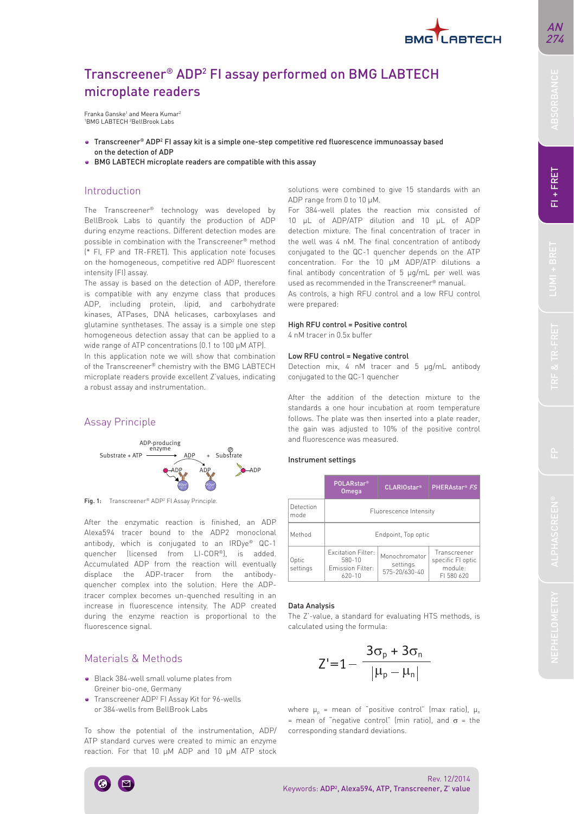

# BMG LABTECH microplate readers are compatible with this assay Introduction

microplate readers

on the detection of ADP

Franka Ganske<sup>1</sup> and Meera Kumar<sup>2</sup> 1 BMG LABTECH 2 BellBrook Labs

Transcreener® ADP2 FI assay performed on BMG LABTECH

Transcreener® ADP2 FI assay kit is a simple one-step competitive red fluorescence immunoassay based

The Transcreener® technology was developed by BellBrook Labs to quantify the production of ADP during enzyme reactions. Different detection modes are possible in combination with the Transcreener® method (\* FI, FP and TR-FRET). This application note focuses on the homogeneous, competitive red ADP2 fluorescent intensity (FI) assay.

The assay is based on the detection of ADP, therefore is compatible with any enzyme class that produces ADP, including protein, lipid, and carbohydrate kinases, ATPases, DNA helicases, carboxylases and glutamine synthetases. The assay is a simple one step homogeneous detection assay that can be applied to a wide range of ATP concentrations (0.1 to 100 μM ATP).

In this application note we will show that combination of the Transcreener® chemistry with the BMG LABTECH microplate readers provide excellent Z'values, indicating a robust assay and instrumentation.

## Assay Principle



Fig. 1: Transcreener® ADP<sup>2</sup> FI Assay Principle.

After the enzymatic reaction is finished, an ADP Alexa594 tracer bound to the ADP2 monoclonal antibody, which is conjugated to an IRDye® QC-1 quencher (licensed from LI-COR®), is added. Accumulated ADP from the reaction will eventually displace the ADP-tracer from the antibodyquencher complex into the solution. Here the ADPtracer complex becomes un-quenched resulting in an increase in fluorescence intensity. The ADP created during the enzyme reaction is proportional to the fluorescence signal.

# Materials & Methods

- Black 384-well small volume plates from Greiner bio-one, Germany
- Transcreener ADP2 FI Assay Kit for 96-wells or 384-wells from BellBrook Labs

To show the potential of the instrumentation, ADP/ ATP standard curves were created to mimic an enzyme reaction. For that 10 μM ADP and 10 μM ATP stock

solutions were combined to give 15 standards with an ADP range from 0 to 10 μM.

For 384-well plates the reaction mix consisted of 10 μL of ADP/ATP dilution and 10 μL of ADP detection mixture. The final concentration of tracer in the well was 4 nM. The final concentration of antibody conjugated to the QC-1 quencher depends on the ATP concentration. For the 10 μM ADP/ATP dilutions a final antibody concentration of 5 μg/mL per well was used as recommended in the Transcreener® manual.

As controls, a high RFU control and a low RFU control were prepared:

### High RFU control = Positive control

4 nM tracer in 0.5x buffer

#### Low RFU control = Negative control

Detection mix, 4 nM tracer and 5 μg/mL antibody conjugated to the QC-1 quencher

After the addition of the detection mixture to the standards a one hour incubation at room temperature follows. The plate was then inserted into a plate reader, the gain was adjusted to 10% of the positive control and fluorescence was measured.

#### Instrument settings

|                   | <b>POLARstar®</b><br><b>Omega</b>                                     | CLARIOstar <sup>®</sup>                    | PHERAstar <sup>®</sup> FS                                 |  |  |  |
|-------------------|-----------------------------------------------------------------------|--------------------------------------------|-----------------------------------------------------------|--|--|--|
| Detection<br>mode | Fluorescence Intensity                                                |                                            |                                                           |  |  |  |
| Method            | Endpoint, Top optic                                                   |                                            |                                                           |  |  |  |
| Optic<br>settings | <b>Excitation Filter:</b><br>580-10<br>Emission Filter:<br>$620 - 10$ | Monochromator<br>settings<br>575-20/630-40 | Transcreener<br>specific FI optic<br>module:<br>FL580 620 |  |  |  |

#### Data Analysis

The Z'-value, a standard for evaluating HTS methods, is calculated using the formula:

$$
Z^{\prime}\text{=}1\text{--}\frac{3\sigma_{\text{p}}+3\sigma_{\text{n}}}{\left|\mu_{\text{p}}-\mu_{\text{n}}\right|}
$$

where  $\mu_p$  = mean of "positive control" (max ratio),  $\mu_n$ = mean of "negative control" (min ratio), and  $\sigma$  = the corresponding standard deviations.



## Rev. 12/2014 Keywords: ADP<sup>2</sup>, Alexa594, ATP, Transcreener, Z' value